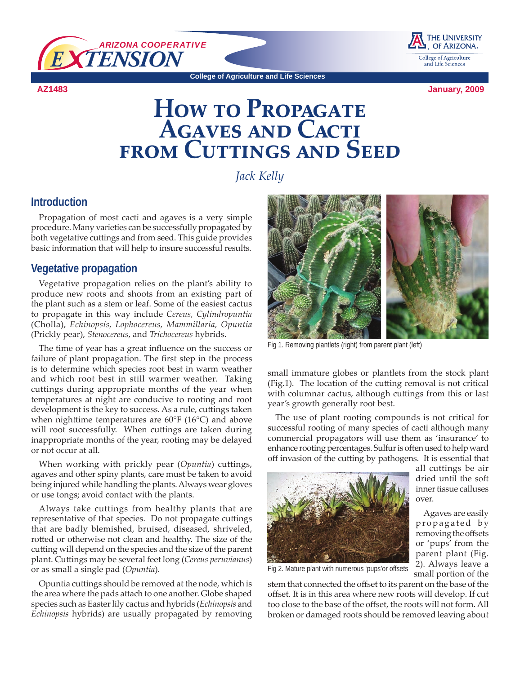

**AZ1483**



**College of Agriculture and Life Sciences**

**January, 2009**

# **HOW TO PROPAGATE Agaves and Cacti from Cuttings and SEED**

*Jack Kelly*

## **Introduction**

Propagation of most cacti and agaves is a very simple procedure. Many varieties can be successfully propagated by both vegetative cuttings and from seed. This guide provides basic information that will help to insure successful results.

## **Vegetative propagation**

Vegetative propagation relies on the plant's ability to produce new roots and shoots from an existing part of the plant such as a stem or leaf. Some of the easiest cactus to propagate in this way include *Cereus, Cylindropuntia*  (Cholla), *Echinopsis, Lophocereus, Mammillaria, Opuntia*  (Prickly pear), *Stenocereus*, and *Trichocereus* hybrids.

The time of year has a great influence on the success or failure of plant propagation. The first step in the process is to determine which species root best in warm weather and which root best in still warmer weather. Taking cuttings during appropriate months of the year when temperatures at night are conducive to rooting and root development is the key to success. As a rule, cuttings taken when nighttime temperatures are 60°F (16°C) and above will root successfully. When cuttings are taken during inappropriate months of the year, rooting may be delayed or not occur at all.

When working with prickly pear (*Opuntia*) cuttings, agaves and other spiny plants, care must be taken to avoid being injured while handling the plants. Always wear gloves or use tongs; avoid contact with the plants.

Always take cuttings from healthy plants that are representative of that species. Do not propagate cuttings that are badly blemished, bruised, diseased, shriveled, rotted or otherwise not clean and healthy. The size of the cutting will depend on the species and the size of the parent plant. Cuttings may be several feet long (*Cereus peruvianus*) or as small a single pad (*Opuntia*).

Opuntia cuttings should be removed at the node, which is the area where the pads attach to one another. Globe shaped species such as Easter lily cactus and hybrids (*Echinopsis* and *Echinopsis* hybrids) are usually propagated by removing



Fig 1. Removing plantlets (right) from parent plant (left)

small immature globes or plantlets from the stock plant (Fig.1). The location of the cutting removal is not critical with columnar cactus, although cuttings from this or last year's growth generally root best.

The use of plant rooting compounds is not critical for successful rooting of many species of cacti although many commercial propagators will use them as 'insurance' to enhance rooting percentages. Sulfur is often used to help ward off invasion of the cutting by pathogens. It is essential that



all cuttings be air dried until the soft inner tissue calluses over.

Agaves are easily propagated by removing the offsets or 'pups' from the parent plant (Fig. 2). Always leave a small portion of the

Fig 2. Mature plant with numerous 'pups'or offsets

stem that connected the offset to its parent on the base of the offset. It is in this area where new roots will develop. If cut too close to the base of the offset, the roots will not form. All broken or damaged roots should be removed leaving about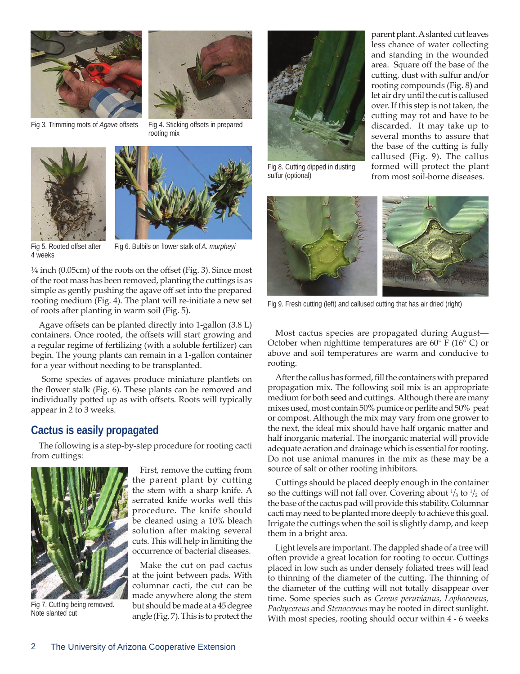





Fig 5. Rooted offset after 4 weeks

Fig 6. Bulbils on flower stalk of *A. murpheyi*

¼ inch (0.05cm) of the roots on the offset (Fig. 3). Since most of the root mass has been removed, planting the cuttings is as simple as gently pushing the agave off set into the prepared rooting medium (Fig. 4). The plant will re-initiate a new set of roots after planting in warm soil (Fig. 5).

Agave offsets can be planted directly into 1-gallon (3.8 L) containers. Once rooted, the offsets will start growing and a regular regime of fertilizing (with a soluble fertilizer) can begin. The young plants can remain in a 1-gallon container for a year without needing to be transplanted.

 Some species of agaves produce miniature plantlets on the flower stalk (Fig. 6). These plants can be removed and individually potted up as with offsets. Roots will typically appear in 2 to 3 weeks.

# **Cactus is easily propagated**

The following is a step-by-step procedure for rooting cacti from cuttings:



Fig 7. Cutting being removed. Note slanted cut

First, remove the cutting from the parent plant by cutting the stem with a sharp knife. A serrated knife works well this procedure. The knife should be cleaned using a 10% bleach solution after making several cuts. This will help in limiting the occurrence of bacterial diseases.

Make the cut on pad cactus at the joint between pads. With columnar cacti, the cut can be made anywhere along the stem but should be made at a 45 degree angle (Fig. 7). This is to protect the



Fig 8. Cutting dipped in dusting sulfur (optional)

parent plant. A slanted cut leaves less chance of water collecting and standing in the wounded area. Square off the base of the cutting, dust with sulfur and/or rooting compounds (Fig. 8) and let air dry until the cut is callused over. If this step is not taken, the cutting may rot and have to be discarded. It may take up to several months to assure that the base of the cutting is fully callused (Fig. 9). The callus formed will protect the plant from most soil-borne diseases.



Fig 9. Fresh cutting (left) and callused cutting that has air dried (right)

Most cactus species are propagated during August— October when nighttime temperatures are 60° F (16° C) or above and soil temperatures are warm and conducive to rooting.

After the callus has formed, fill the containers with prepared propagation mix. The following soil mix is an appropriate medium for both seed and cuttings. Although there are many mixes used, most contain 50% pumice or perlite and 50% peat or compost. Although the mix may vary from one grower to the next, the ideal mix should have half organic matter and half inorganic material. The inorganic material will provide adequate aeration and drainage which is essential for rooting. Do not use animal manures in the mix as these may be a source of salt or other rooting inhibitors.

Cuttings should be placed deeply enough in the container so the cuttings will not fall over. Covering about  $\frac{1}{3}$  to  $\frac{1}{2}$  of the base of the cactus pad will provide this stability. Columnar cacti may need to be planted more deeply to achieve this goal. Irrigate the cuttings when the soil is slightly damp, and keep them in a bright area.

Light levels are important. The dappled shade of a tree will often provide a great location for rooting to occur. Cuttings placed in low such as under densely foliated trees will lead to thinning of the diameter of the cutting. The thinning of the diameter of the cutting will not totally disappear over time. Some species such as *Cereus peruvianus, Lophocereus, Pachycereus* and *Stenocereus* may be rooted in direct sunlight. With most species, rooting should occur within 4 - 6 weeks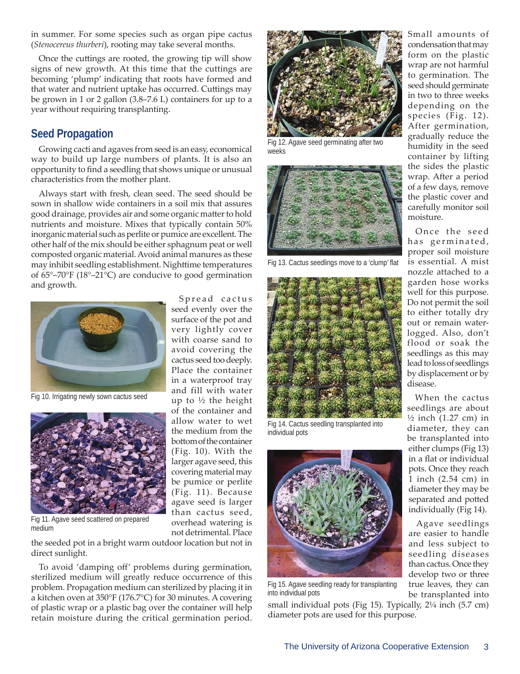in summer. For some species such as organ pipe cactus (*Stenocereus thurberi*), rooting may take several months.

Once the cuttings are rooted, the growing tip will show signs of new growth. At this time that the cuttings are becoming 'plump' indicating that roots have formed and that water and nutrient uptake has occurred. Cuttings may be grown in 1 or 2 gallon (3.8–7.6 L) containers for up to a year without requiring transplanting.

## **Seed Propagation**

Growing cacti and agaves from seed is an easy, economical way to build up large numbers of plants. It is also an opportunity to find a seedling that shows unique or unusual characteristics from the mother plant.

Always start with fresh, clean seed. The seed should be sown in shallow wide containers in a soil mix that assures good drainage, provides air and some organic matter to hold nutrients and moisture. Mixes that typically contain 50% inorganic material such as perlite or pumice are excellent. The other half of the mix should be either sphagnum peat or well composted organic material. Avoid animal manures as these may inhibit seedling establishment. Nighttime temperatures of 65°–70°F (18°–21°C) are conducive to good germination and growth.

> Spread cactus seed evenly over the surface of the pot and very lightly cover with coarse sand to avoid covering the cactus seed too deeply. Place the container in a waterproof tray and fill with water up to  $\frac{1}{2}$  the height of the container and allow water to wet the medium from the bottom of the container (Fig. 10). With the larger agave seed, this covering material may be pumice or perlite (Fig. 11). Because agave seed is larger than cactus seed, overhead watering is not detrimental. Place



Fig 10. Irrigating newly sown cactus seed



Fig 11. Agave seed scattered on prepared medium

the seeded pot in a bright warm outdoor location but not in direct sunlight.

To avoid 'damping off' problems during germination, sterilized medium will greatly reduce occurrence of this problem. Propagation medium can sterilized by placing it in a kitchen oven at 350°F (176.7°C) for 30 minutes. A covering of plastic wrap or a plastic bag over the container will help retain moisture during the critical germination period.



Fig 12. Agave seed germinating after two weeks



Fig 13. Cactus seedlings move to a 'clump' flat



Fig 14. Cactus seedling transplanted into individual pots



Fig 15. Agave seedling ready for transplanting into individual pots

small individual pots (Fig 15). Typically, 2¼ inch (5.7 cm) diameter pots are used for this purpose.

Small amounts of condensation that may form on the plastic wrap are not harmful to germination. The seed should germinate in two to three weeks depending on the species (Fig. 12). After germination, gradually reduce the humidity in the seed container by lifting the sides the plastic wrap. After a period of a few days, remove the plastic cover and carefully monitor soil moisture.

Once the seed has germinated, proper soil moisture is essential. A mist nozzle attached to a garden hose works well for this purpose. Do not permit the soil to either totally dry out or remain waterlogged. Also, don't flood or soak the seedlings as this may lead to loss of seedlings by displacement or by disease.

When the cactus seedlings are about  $\frac{1}{2}$  inch (1.27 cm) in diameter, they can be transplanted into either clumps (Fig 13) in a flat or individual pots. Once they reach 1 inch (2.54 cm) in diameter they may be separated and potted individually (Fig 14).

Agave seedlings are easier to handle and less subject to seedling diseases than cactus. Once they develop two or three true leaves, they can be transplanted into